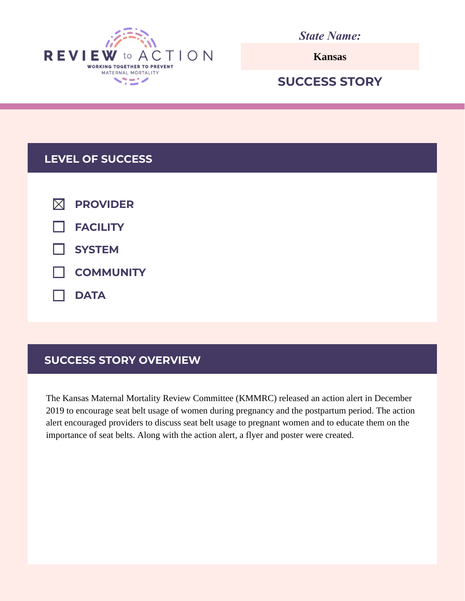

*State Name:*

**Kansas**

# **SUCCESS STORY**

## **LEVEL OF SUCCESS**

| $\boxtimes$ PROVIDER    |
|-------------------------|
| $\Box$ FACILITY         |
| $\Box$ SYSTEM           |
| <b>NUMBER</b> COMMUNITY |
| $\Box$ DATA             |

# **SUCCESS STORY OVERVIEW**

The Kansas Maternal Mortality Review Committee (KMMRC) released an action alert in December 2019 to encourage seat belt usage of women during pregnancy and the postpartum period. The action alert encouraged providers to discuss seat belt usage to pregnant women and to educate them on the importance of seat belts. Along with the action alert, a flyer and poster were created.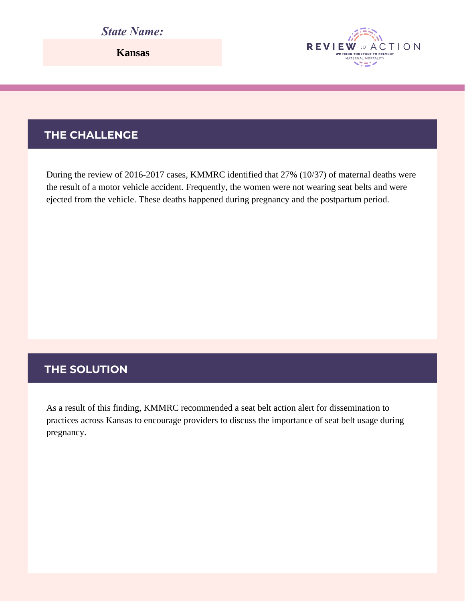# *State Name:*

**Kansas**

# **THE CHALLENGE**

During the review of 2016-2017 cases, KMMRC identified that 27% (10/37) of maternal deaths were the result of a motor vehicle accident. Frequently, the women were not wearing seat belts and were ejected from the vehicle. These deaths happened during pregnancy and the postpartum period.

**REVIEW** 

**WORKING TOGETHER TO PREVENT** ベニイ

CTION

### **THE SOLUTION**

As a result of this finding, KMMRC recommended a seat belt action alert for dissemination to practices across Kansas to encourage providers to discuss the importance of seat belt usage during pregnancy.